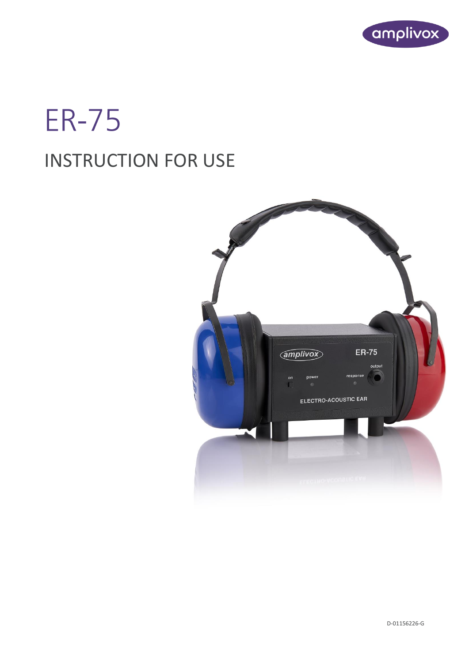

# **ER-75** INSTRUCTION FOR USE

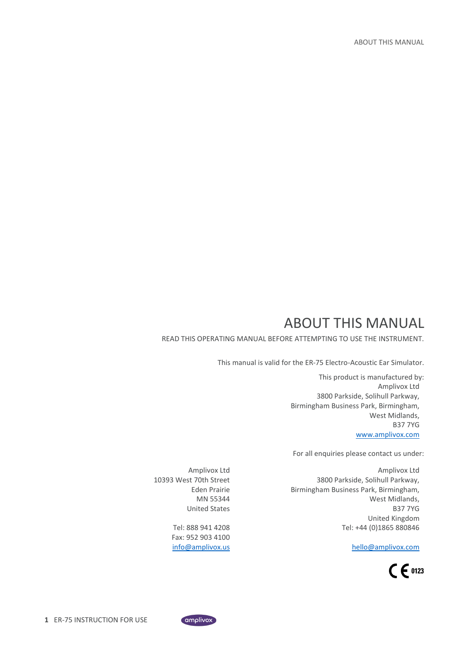# ABOUT THIS MANUAL

<span id="page-1-0"></span>READ THIS OPERATING MANUAL BEFORE ATTEMPTING TO USE THE INSTRUMENT.

This manual is valid for the ER-75 Electro-Acoustic Ear Simulator.

This product is manufactured by: Amplivox Ltd 3800 Parkside, Solihull Parkway, Birmingham Business Park, Birmingham, West Midlands, B37 7YG [www.amplivox.com](http://www.amplivox.com/)

For all enquiries please contact us under:

Amplivox Ltd 3800 Parkside, Solihull Parkway, Birmingham Business Park, Birmingham, West Midlands, B37 7YG United Kingdom Tel: +44 (0)1865 880846

[hello@amplivox.com](mailto:hello@amplivox.com)



Amplivox Ltd 10393 West 70th Street Eden Prairie MN 55344 United States

> Tel: 888 941 4208 Fax: 952 903 4100 [info@amplivox.us](mailto:info@amplivox.us)

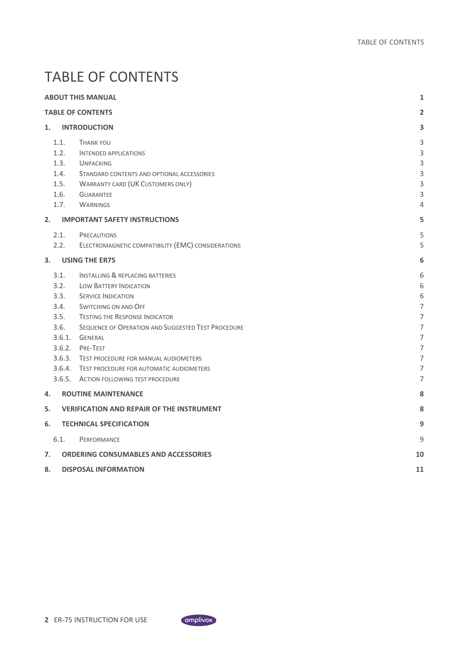# <span id="page-2-0"></span>TABLE OF CONTENTS

|    | <b>ABOUT THIS MANUAL</b><br>1                        |                                                                                                                                                                                                                                                                                                                                                                                                                    |                                                     |  |  |  |  |
|----|------------------------------------------------------|--------------------------------------------------------------------------------------------------------------------------------------------------------------------------------------------------------------------------------------------------------------------------------------------------------------------------------------------------------------------------------------------------------------------|-----------------------------------------------------|--|--|--|--|
|    | <b>TABLE OF CONTENTS</b>                             |                                                                                                                                                                                                                                                                                                                                                                                                                    |                                                     |  |  |  |  |
| 1. |                                                      | <b>INTRODUCTION</b>                                                                                                                                                                                                                                                                                                                                                                                                | 3                                                   |  |  |  |  |
|    | 1.1.<br>1.2.<br>1.3.<br>1.4.<br>1.5.<br>1.6.<br>1.7. | <b>THANK YOU</b><br><b>INTENDED APPLICATIONS</b><br><b>UNPACKING</b><br>STANDARD CONTENTS AND OPTIONAL ACCESSORIES<br><b>WARRANTY CARD (UK CUSTOMERS ONLY)</b><br><b>GUARANTEE</b><br><b>WARNINGS</b>                                                                                                                                                                                                              | 3<br>3<br>3<br>3<br>3<br>3<br>4                     |  |  |  |  |
| 2. |                                                      | <b>IMPORTANT SAFETY INSTRUCTIONS</b>                                                                                                                                                                                                                                                                                                                                                                               | 5                                                   |  |  |  |  |
|    | 2.1.<br>2.2.                                         | <b>PRECAUTIONS</b><br>ELECTROMAGNETIC COMPATIBILITY (EMC) CONSIDERATIONS                                                                                                                                                                                                                                                                                                                                           | 5<br>5                                              |  |  |  |  |
| 3. |                                                      | <b>USING THE ER75</b>                                                                                                                                                                                                                                                                                                                                                                                              | 6                                                   |  |  |  |  |
|    | 3.1.<br>3.2.<br>3.3.<br>3.4.<br>3.5.<br>3.6.         | <b>INSTALLING &amp; REPLACING BATTERIES</b><br><b>LOW BATTERY INDICATION</b><br><b>SERVICE INDICATION</b><br>SWITCHING ON AND OFF<br><b>TESTING THE RESPONSE INDICATOR</b><br>SEQUENCE OF OPERATION AND SUGGESTED TEST PROCEDURE<br>3.6.1. GENERAL<br>3.6.2. PRE-TEST<br>3.6.3. TEST PROCEDURE FOR MANUAL AUDIOMETERS<br>3.6.4. TEST PROCEDURE FOR AUTOMATIC AUDIOMETERS<br>3.6.5. ACTION FOLLOWING TEST PROCEDURE | 6<br>6<br>6<br>7<br>7<br>7<br>7<br>7<br>7<br>7<br>7 |  |  |  |  |
| 4. |                                                      | <b>ROUTINE MAINTENANCE</b>                                                                                                                                                                                                                                                                                                                                                                                         | 8                                                   |  |  |  |  |
| 5. |                                                      | <b>VERIFICATION AND REPAIR OF THE INSTRUMENT</b>                                                                                                                                                                                                                                                                                                                                                                   | 8                                                   |  |  |  |  |
| 6. |                                                      | <b>TECHNICAL SPECIFICATION</b>                                                                                                                                                                                                                                                                                                                                                                                     | 9                                                   |  |  |  |  |
| 7. | 6.1.                                                 | PERFORMANCE<br><b>ORDERING CONSUMABLES AND ACCESSORIES</b>                                                                                                                                                                                                                                                                                                                                                         | 9<br>10                                             |  |  |  |  |
| 8. | <b>DISPOSAL INFORMATION</b><br>11                    |                                                                                                                                                                                                                                                                                                                                                                                                                    |                                                     |  |  |  |  |

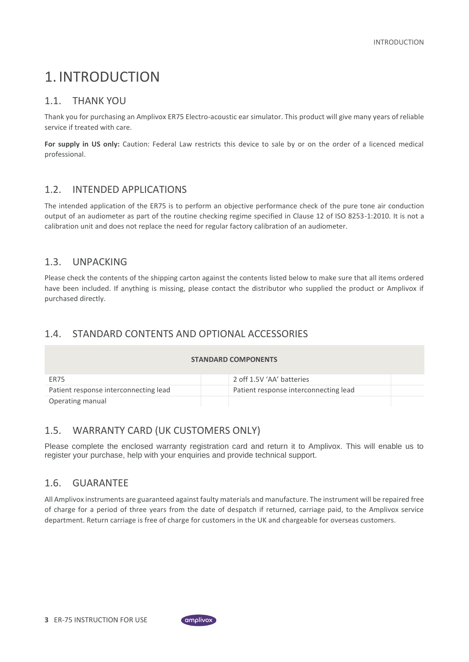# <span id="page-3-0"></span>1. INTRODUCTION

#### <span id="page-3-1"></span>1.1. THANK YOU

Thank you for purchasing an Amplivox ER75 Electro-acoustic ear simulator. This product will give many years of reliable service if treated with care.

**For supply in US only:** Caution: Federal Law restricts this device to sale by or on the order of a licenced medical professional.

#### <span id="page-3-2"></span>1.2. INTENDED APPLICATIONS

The intended application of the ER75 is to perform an objective performance check of the pure tone air conduction output of an audiometer as part of the routine checking regime specified in Clause 12 of ISO 8253-1:2010. It is not a calibration unit and does not replace the need for regular factory calibration of an audiometer.

#### <span id="page-3-3"></span>1.3. UNPACKING

Please check the contents of the shipping carton against the contents listed below to make sure that all items ordered have been included. If anything is missing, please contact the distributor who supplied the product or Amplivox if purchased directly.

### <span id="page-3-4"></span>1.4. STANDARD CONTENTS AND OPTIONAL ACCESSORIES

| <b>STANDARD COMPONENTS</b>            |  |                                       |  |  |  |
|---------------------------------------|--|---------------------------------------|--|--|--|
| ER75                                  |  | 2 off 1.5V 'AA' batteries             |  |  |  |
| Patient response interconnecting lead |  | Patient response interconnecting lead |  |  |  |
| Operating manual                      |  |                                       |  |  |  |

### <span id="page-3-5"></span>1.5. WARRANTY CARD (UK CUSTOMERS ONLY)

Please complete the enclosed warranty registration card and return it to Amplivox. This will enable us to register your purchase, help with your enquiries and provide technical support.

#### <span id="page-3-6"></span>1.6. GUARANTEE

All Amplivox instruments are guaranteed against faulty materials and manufacture. The instrument will be repaired free of charge for a period of three years from the date of despatch if returned, carriage paid, to the Amplivox service department. Return carriage is free of charge for customers in the UK and chargeable for overseas customers.

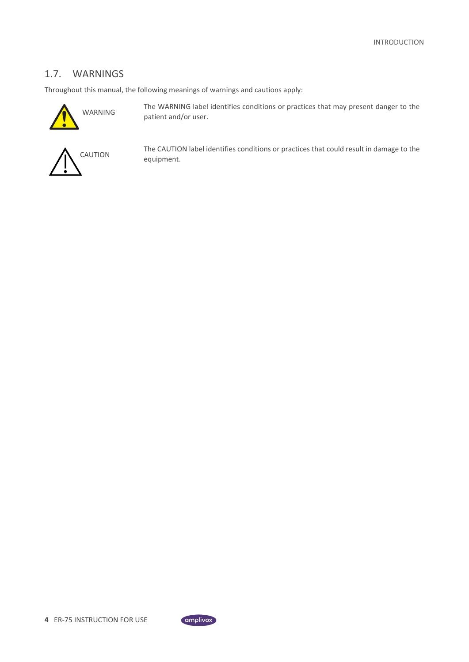### <span id="page-4-0"></span>1.7. WARNINGS

Throughout this manual, the following meanings of warnings and cautions apply:



The WARNING label identifies conditions or practices that may present danger to the patient and/or user.



The CAUTION label identifies conditions or practices that could result in damage to the equipment.

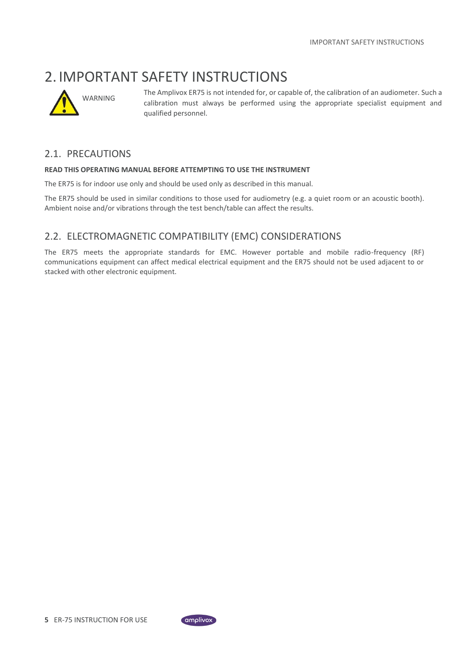### <span id="page-5-0"></span>2. IMPORTANT SAFETY INSTRUCTIONS



The Amplivox ER75 is not intended for, or capable of, the calibration of an audiometer. Such a calibration must always be performed using the appropriate specialist equipment and qualified personnel.

#### <span id="page-5-1"></span>2.1. PRECAUTIONS

#### **READ THIS OPERATING MANUAL BEFORE ATTEMPTING TO USE THE INSTRUMENT**

The ER75 is for indoor use only and should be used only as described in this manual.

The ER75 should be used in similar conditions to those used for audiometry (e.g. a quiet room or an acoustic booth). Ambient noise and/or vibrations through the test bench/table can affect the results.

### <span id="page-5-2"></span>2.2. ELECTROMAGNETIC COMPATIBILITY (EMC) CONSIDERATIONS

The ER75 meets the appropriate standards for EMC. However portable and mobile radio-frequency (RF) communications equipment can affect medical electrical equipment and the ER75 should not be used adjacent to or stacked with other electronic equipment.

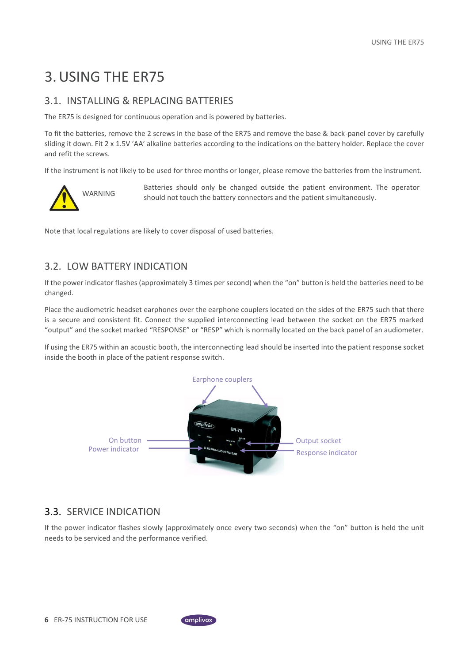# <span id="page-6-0"></span>3.USING THE ER75

### <span id="page-6-1"></span>3.1. INSTALLING & REPLACING BATTERIES

The ER75 is designed for continuous operation and is powered by batteries.

To fit the batteries, remove the 2 screws in the base of the ER75 and remove the base & back-panel cover by carefully sliding it down. Fit 2 x 1.5V 'AA' alkaline batteries according to the indications on the battery holder. Replace the cover and refit the screws.

If the instrument is not likely to be used for three months or longer, please remove the batteries from the instrument.



Batteries should only be changed outside the patient environment. The operator should not touch the battery connectors and the patient simultaneously.

Note that local regulations are likely to cover disposal of used batteries.

### <span id="page-6-2"></span>3.2. LOW BATTERY INDICATION

If the power indicator flashes (approximately 3 times per second) when the "on" button is held the batteries need to be changed.

Place the audiometric headset earphones over the earphone couplers located on the sides of the ER75 such that there is a secure and consistent fit. Connect the supplied interconnecting lead between the socket on the ER75 marked "output" and the socket marked "RESPONSE" or "RESP" which is normally located on the back panel of an audiometer.

If using the ER75 within an acoustic booth, the interconnecting lead should be inserted into the patient response socket inside the booth in place of the patient response switch.



### <span id="page-6-3"></span>3.3. SERVICE INDICATION

If the power indicator flashes slowly (approximately once every two seconds) when the "on" button is held the unit needs to be serviced and the performance verified.

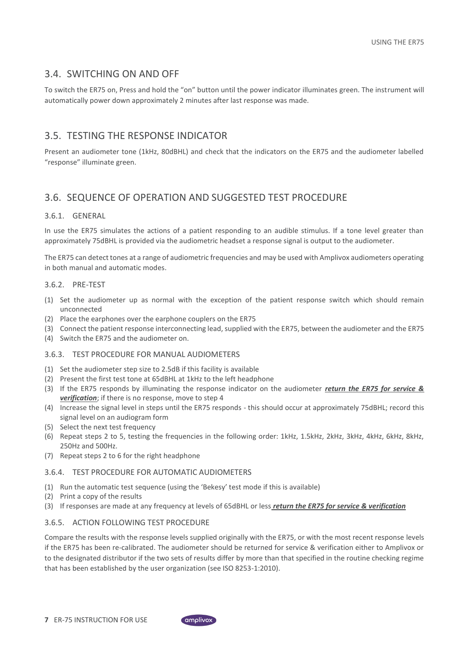#### <span id="page-7-0"></span>3.4. SWITCHING ON AND OFF

To switch the ER75 on, Press and hold the "on" button until the power indicator illuminates green. The instrument will automatically power down approximately 2 minutes after last response was made.

#### <span id="page-7-1"></span>3.5. TESTING THE RESPONSE INDICATOR

Present an audiometer tone (1kHz, 80dBHL) and check that the indicators on the ER75 and the audiometer labelled "response" illuminate green.

### <span id="page-7-2"></span>3.6. SEQUENCE OF OPERATION AND SUGGESTED TEST PROCEDURE

#### <span id="page-7-3"></span>3.6.1. GENERAL

In use the ER75 simulates the actions of a patient responding to an audible stimulus. If a tone level greater than approximately 75dBHL is provided via the audiometric headset a response signal is output to the audiometer.

The ER75 can detect tones at a range of audiometric frequencies and may be used with Amplivox audiometers operating in both manual and automatic modes.

#### <span id="page-7-4"></span>3.6.2. PRE-TEST

- (1) Set the audiometer up as normal with the exception of the patient response switch which should remain unconnected
- (2) Place the earphones over the earphone couplers on the ER75
- (3) Connect the patient response interconnecting lead, supplied with the ER75, between the audiometer and the ER75
- (4) Switch the ER75 and the audiometer on.

#### <span id="page-7-5"></span>3.6.3. TEST PROCEDURE FOR MANUAL AUDIOMETERS

- (1) Set the audiometer step size to 2.5dB if this facility is available
- (2) Present the first test tone at 65dBHL at 1kHz to the left headphone
- (3) If the ER75 responds by illuminating the response indicator on the audiometer *return the ER75 for service & verification*; if there is no response, move to step 4
- (4) Increase the signal level in steps until the ER75 responds this should occur at approximately 75dBHL; record this signal level on an audiogram form
- (5) Select the next test frequency
- (6) Repeat steps 2 to 5, testing the frequencies in the following order: 1kHz, 1.5kHz, 2kHz, 3kHz, 4kHz, 6kHz, 8kHz, 250Hz and 500Hz.
- (7) Repeat steps 2 to 6 for the right headphone

#### <span id="page-7-6"></span>3.6.4. TEST PROCEDURE FOR AUTOMATIC AUDIOMETERS

- (1) Run the automatic test sequence (using the 'Bekesy' test mode if this is available)
- (2) Print a copy of the results
- (3) If responses are made at any frequency at levels of 65dBHL or less *return the ER75 for service & verification*

#### <span id="page-7-7"></span>3.6.5. ACTION FOLLOWING TEST PROCEDURE

Compare the results with the response levels supplied originally with the ER75, or with the most recent response levels if the ER75 has been re-calibrated. The audiometer should be returned for service & verification either to Amplivox or to the designated distributor if the two sets of results differ by more than that specified in the routine checking regime that has been established by the user organization (see ISO 8253-1:2010).

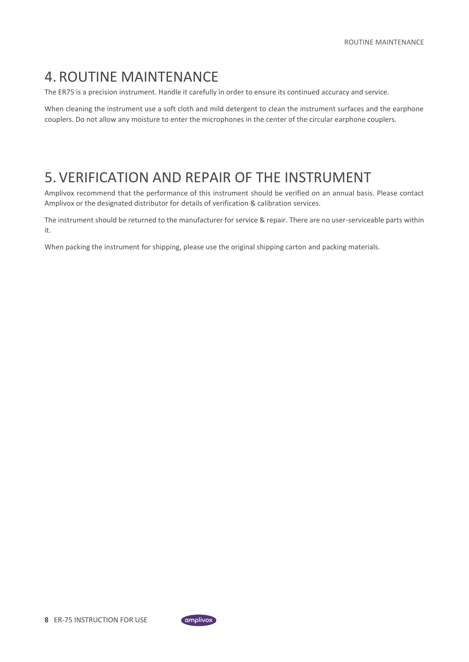# <span id="page-8-0"></span>4. ROUTINE MAINTENANCE

The ER75 is a precision instrument. Handle it carefully in order to ensure its continued accuracy and service.

When cleaning the instrument use a soft cloth and mild detergent to clean the instrument surfaces and the earphone couplers. Do not allow any moisture to enter the microphones in the center of the circular earphone couplers.

### <span id="page-8-1"></span>5.VERIFICATION AND REPAIR OF THE INSTRUMENT

Amplivox recommend that the performance of this instrument should be verified on an annual basis. Please contact Amplivox or the designated distributor for details of verification & calibration services.

The instrument should be returned to the manufacturer for service & repair. There are no user-serviceable parts within it.

When packing the instrument for shipping, please use the original shipping carton and packing materials.

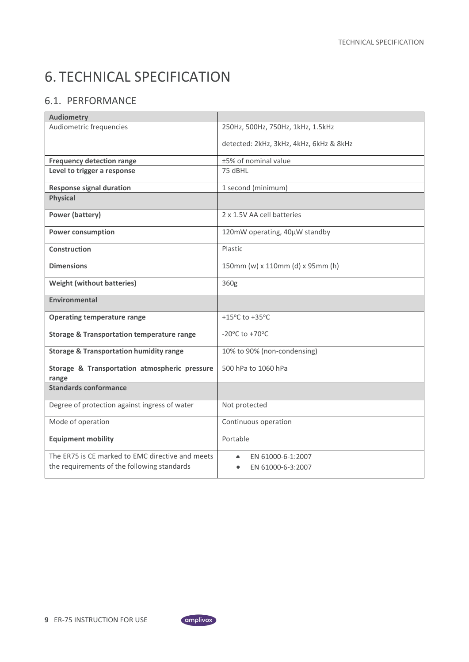# <span id="page-9-0"></span>6. TECHNICAL SPECIFICATION

### <span id="page-9-1"></span>6.1. PERFORMANCE

| <b>Audiometry</b>                                                                               |                                                          |
|-------------------------------------------------------------------------------------------------|----------------------------------------------------------|
| Audiometric frequencies                                                                         | 250Hz, 500Hz, 750Hz, 1kHz, 1.5kHz                        |
|                                                                                                 | detected: 2kHz, 3kHz, 4kHz, 6kHz & 8kHz                  |
| <b>Frequency detection range</b>                                                                | ±5% of nominal value                                     |
| Level to trigger a response                                                                     | 75 dBHL                                                  |
| <b>Response signal duration</b>                                                                 | 1 second (minimum)                                       |
| <b>Physical</b>                                                                                 |                                                          |
| <b>Power (battery)</b>                                                                          | 2 x 1.5V AA cell batteries                               |
| <b>Power consumption</b>                                                                        | 120mW operating, 40µW standby                            |
| Construction                                                                                    | Plastic                                                  |
| <b>Dimensions</b>                                                                               | 150mm (w) x 110mm (d) x 95mm (h)                         |
| <b>Weight (without batteries)</b>                                                               | 360g                                                     |
| Environmental                                                                                   |                                                          |
| <b>Operating temperature range</b>                                                              | +15°C to +35°C                                           |
| <b>Storage &amp; Transportation temperature range</b>                                           | -20 $\mathrm{^{\circ}C}$ to +70 $\mathrm{^{\circ}C}$     |
| <b>Storage &amp; Transportation humidity range</b>                                              | 10% to 90% (non-condensing)                              |
| Storage & Transportation atmospheric pressure<br>range                                          | 500 hPa to 1060 hPa                                      |
| <b>Standards conformance</b>                                                                    |                                                          |
| Degree of protection against ingress of water                                                   | Not protected                                            |
| Mode of operation                                                                               | Continuous operation                                     |
| <b>Equipment mobility</b>                                                                       | Portable                                                 |
| The ER75 is CE marked to EMC directive and meets<br>the requirements of the following standards | EN 61000-6-1:2007<br>$\bullet$<br>EN 61000-6-3:2007<br>۰ |

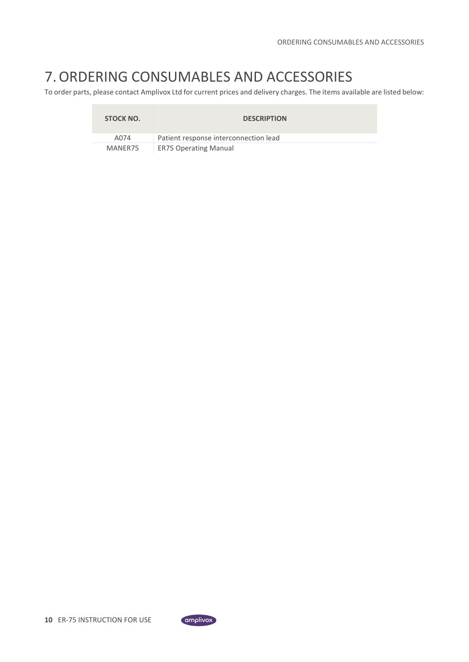# <span id="page-10-0"></span>7.ORDERING CONSUMABLES AND ACCESSORIES

To order parts, please contact Amplivox Ltd for current prices and delivery charges. The items available are listed below:

| STOCK NO. | <b>DESCRIPTION</b>                    |
|-----------|---------------------------------------|
| A074      | Patient response interconnection lead |
| MANER75   | <b>ER75 Operating Manual</b>          |

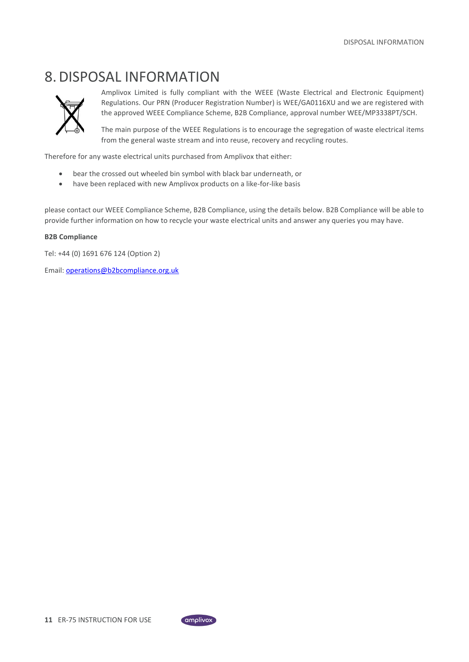# <span id="page-11-0"></span>8.DISPOSAL INFORMATION



Amplivox Limited is fully compliant with the WEEE (Waste Electrical and Electronic Equipment) Regulations. Our PRN (Producer Registration Number) is WEE/GA0116XU and we are registered with the approved WEEE Compliance Scheme, B2B Compliance, approval number WEE/MP3338PT/SCH.

The main purpose of the WEEE Regulations is to encourage the segregation of waste electrical items from the general waste stream and into reuse, recovery and recycling routes.

Therefore for any waste electrical units purchased from Amplivox that either:

- bear the crossed out wheeled bin symbol with black bar underneath, or
- have been replaced with new Amplivox products on a like-for-like basis

please contact our WEEE Compliance Scheme, B2B Compliance, using the details below. B2B Compliance will be able to provide further information on how to recycle your waste electrical units and answer any queries you may have.

#### **B2B Compliance**

Tel: +44 (0) 1691 676 124 (Option 2)

Email: operations@b2bcompliance.org.uk